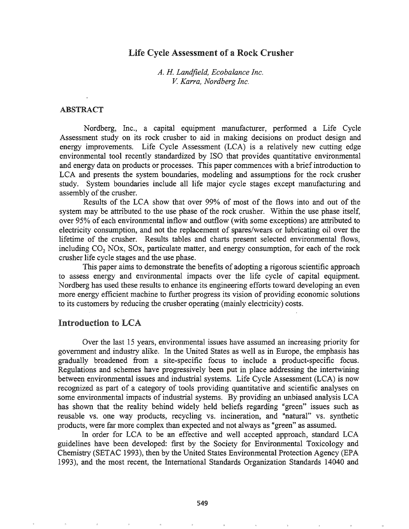### Life Cycle Assessment of a Rock Crusher

*A. H Landfield, Ecobalance Inc. V. Karra, Nordberg Inc.*

### ABSTRACT

Nordberg, Inc., a capital equipment manufacturer, perfonned a Life Cycle Assessment study on its rock crusher to aid in making decisions on product design and energy improvements. Life Cycle Assessment (LCA) is a relatively new cutting edge environmental tool recently standardized by ISO that provides quantitative environmental and energy data on products or processes. This paper commences with a briefintroduction to LCA and presents the system boundaries, modeling and assumptions for the rock crusher study. System boundaries include all life major cycle stages except manufacturing and assembly of the crusher.

Results of the LCA show that over 99% of most of the flows into and out of the system may be attributed to the use phase of the rock crusher. Within the use phase itself, over 95% of each environmental inflow and outflow (with some exceptions) are attributed to electricity consumption, and not the replacement of spares/wears or lubricating oil over the lifetime of the crusher. Results tables and charts present selected environmental flows, including CO<sub>2</sub> NO<sub>x</sub>, SO<sub>x</sub>, particulate matter, and energy consumption, for each of the rock crusher life cycle stages and the use phase.

This paper aims to demonstrate the benefits of adopting a rigorous scientific approach to assess energy and environmental impacts over the life cycle of capital equipment. Nordberg has used these results to enhance its engineering efforts toward developing an even more energy efficient machine to further progress its vision of providing economic solutions to its customers by reducing the crusher operating (mainly electricity) costs.

### Introduction to LCA

Over the last 15 years, environmental issues have assumed an increasing priority for government and industry alike. In the United States as well as in Europe, the emphasis has gradually broadened from a site-specific focus to include a product-specific focus. Regulations and schemes have progressively been put in place addressing the intertwining between environmental issues and industrial systems. Life Cycle Assessment (LCA) is now recognized as part of a category of tools providing quantitative and scientific analyses on some environmental impacts of industrial systems. By providing an unbiased analysis LCA has shown that the reality behind widely held beliefs regarding "green" issues such as reusable vs. one way products, recycling vs. incineration, and "natural" vs. synthetic products, were far more complex than expected and not always as "green" as assumed..

In order for LCA to be an effective and well accepted approach, standard LCA guidelines have been developed: first by the Society for Environmental Toxicology and Chemistry (SETAC 1993), then by the United States Environmental Protection Agency (EPA 1993), and the most recent, the International Standards Organization Standards 14040 and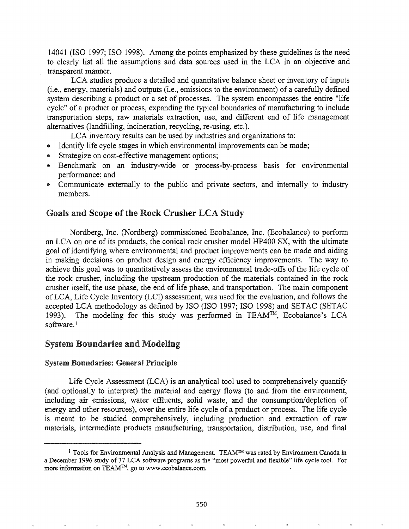14041 (ISO 1997; ISO 1998). Among the points emphasized by these guidelines is the need to clearly list all the assumptions and data sources used in the LCA in an objective and transparent manner.

LCA studies produce a detailed and quantitative balance sheet or inventory of inputs (i.e., energy, materials) and outputs (i.e., emissions to the environment) of a carefully defined system describing a product or a set of processes. The system encompasses the entire "life cycle" of a product or process, expanding the typical boundaries of manufacturing to include transportation steps, raw materials extraction, use, and different end of life management alternatives (landfilling, incineration, recycling, re-using, etc.).

LCA inventory results can be used by industries and organizations to:

- Identify life cycle stages in which environmental improvements can be made;
- Strategize on cost-effective management options;
- .. Benchmark on an industry-wide or process-by-process basis for environmental perfonnance; and
- @ Communicate externally to the public and private sectors, and internally to industry members.

# Goals and Scope of the Rock Crusher LCA Study

Nordberg, Inc. (Nordberg) commissioned Ecobalance, Inc. (Ecobalance) to perform an LCA on one of its products, the conical rock crusher model HP400 SX, with the ultimate goal of identifying where environmental and product improvements can be made and aiding in making decisions on product design and energy efficiency improvements. The way to achieve this goal was to quantitatively assess the environmental trade-offs of the life cycle of the rock crusher, including the upstream production of the materials contained in the rock crusher itself, the use phase, the end of life phase, and transportation. The main component of LCA, Life Cycle Inventory (LCI) assessment, was used for the evaluation, and follows the accepted LCA methodology as defined by ISO (ISO 1997; ISO 1998) and SETAC (SETAC 1993). The modeling for this study was performed in TEAM™, Ecobalance's LCA software.<sup>1</sup>

## System Boundaries and Modeling

#### System Boundaries: General Principle

Life Cycle Assessment (LCA) is an analytical tool used to comprehensively quantify (and optionally to interpret) the material and energy flows (to and from the environment, including air emissions, water effluents, solid waste, and the consumption/depletion of energy and other resources), over the entire life cycle of a product or process. The life cycle is meant to be studied comprehensively, including production and extraction of raw materials, intermediate products manufacturing, transportation, distribution, use, and final

<sup>&</sup>lt;sup>1</sup> Tools for Environmental Analysis and Management. TEAM™ was rated by Environment Canada in a December 1996 study of 37 LCA software programs as the "most powerful and flexible" life cycle tool. For more infonnation on TEAM™, go to www.ecobalance.com.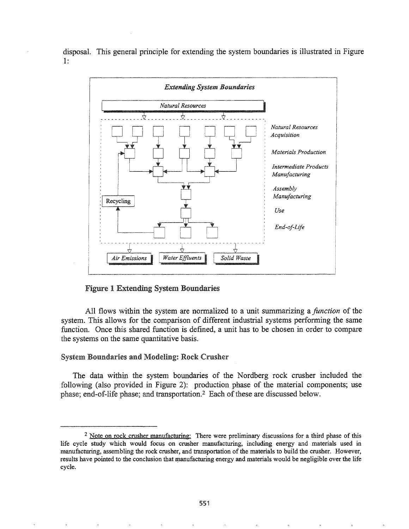disposal. This general principle for extending the system boundaries is illustrated in Figure 1:



Figure 1 Extending System Boundaries

All flows within the system are normalized to a unit summarizing a *function* of the system. This allows for the comparison of different industrial systems performing the same function. Once this shared function is defined, a unit has to be chosen in order to compare the systems on the same quantitative basis.

#### System Boundaries and Modeling: Rock Crusher

The data within the system boundaries of the Nordberg rock crusher included the following (also provided in Figure 2): production phase of the material components; use phase; end-of-life phase; and transportation.<sup>2</sup> Each of these are discussed below.

 $2$  Note on rock crusher manufacturing: There were preliminary discussions for a third phase of this life cycle study which would focus on crusher manufacturing, including energy and materials used in manufacturing, assembling the rock crusher, and transportation of the materials to build the crusher. However, results have pointed to the conclusion that manufacturing energy and materials would be negligible over the life cycle.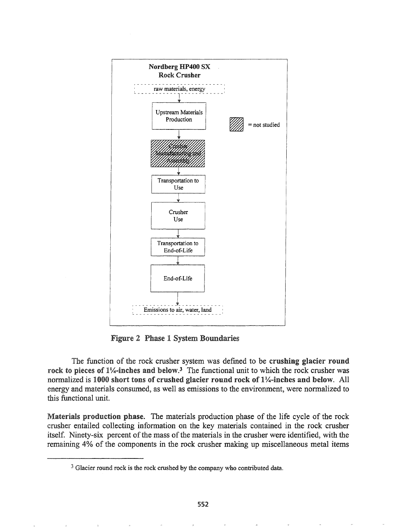

Figure 2 Phase 1 System Boundaries

The function of the rock crusher system was defined to be crushing glacier round rock to pieces of  $1\frac{1}{4}$ -inches and below.<sup>3</sup> The functional unit to which the rock crusher was normalized is 1000 short tons of crushed glacier round rock of  $1\frac{1}{4}$ -inches and below. All energy and materials consumed, as well as emissions to the environment, were normalized to this functional unit.

Materials production phase. The materials production phase of the life cycle of the rock crusher entailed collecting information on the key materials contained in the rock crusher itself. Ninety-six percent of the mass of the materials in the crusher were identified, with the remaining 4% of the components in the rock crusher making up miscellaneous metal items

<sup>&</sup>lt;sup>3</sup> Glacier round rock is the rock crushed by the company who contributed data.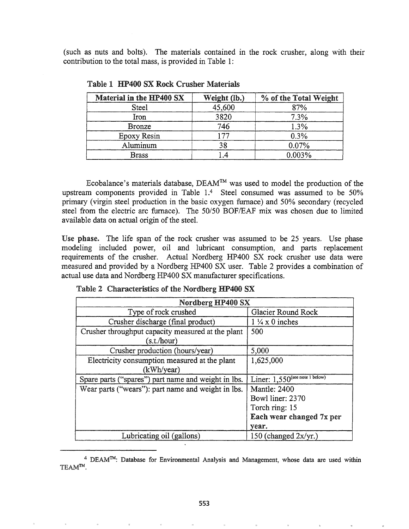(such as nuts and bolts). The materials contained in the rock crusher, along with their contribution to the total mass, is provided in Table 1:

| Material in the HP400 SX | Weight (lb.) | % of the Total Weight |  |  |
|--------------------------|--------------|-----------------------|--|--|
| <b>Steel</b>             | 45,600       | 87%                   |  |  |
| Iron                     | 3820         | 7.3%                  |  |  |
| <b>Bronze</b>            | 746          | 1.3%                  |  |  |
| Epoxy Resin              | 177          | 0.3%                  |  |  |
| Aluminum                 | 38           | 0.07%                 |  |  |
| <b>Brass</b>             |              | 0.003%                |  |  |

Table 1 HP400 SX Rock Crusher Materials

Ecobalance's materials database, DEAM™ was used to model the production of the upstream components provided in Table 1.4 Steel consumed was assumed to be 50% primary (virgin steel production in the basic oxygen furnace) and 50% secondary (recycled steel from the electric arc furnace). The 50/50 BOF/EAF mix was chosen due to limited available data on actual origin of the steel.

Use phase. The life span of the rock crusher was assumed to be 25 years. Use phase modeling included power, oil and lubricant consumption, and parts replacement requirements of the crusher. Actual Nordberg HP400 SX rock crusher use data were measured and provided by a Nordberg HP400 SX user. Table 2 provides a combination of actual use data and Nordberg HP400 SX manufacturer specifications.

|  | Table 2 Characteristics of the Nordberg HP400 SX |  |  |  |  |  |
|--|--------------------------------------------------|--|--|--|--|--|
|--|--------------------------------------------------|--|--|--|--|--|

| Nordberg HP400 SX                                                |                                              |  |  |  |  |
|------------------------------------------------------------------|----------------------------------------------|--|--|--|--|
| Type of rock crushed                                             | Glacier Round Rock                           |  |  |  |  |
| Crusher discharge (final product)                                | $1\frac{1}{4} \times 0$ inches               |  |  |  |  |
| Crusher throughput capacity measured at the plant<br>(s.t./hour) | 500                                          |  |  |  |  |
| Crusher production (hours/year)                                  | 5,000                                        |  |  |  |  |
| Electricity consumption measured at the plant<br>(kWh/year)      | 1,625,000                                    |  |  |  |  |
| Spare parts ("spares") part name and weight in lbs.              | Liner: $1,550$ <sup>(see note 1 below)</sup> |  |  |  |  |
| Wear parts ("wears"): part name and weight in lbs.               | <b>Mantle: 2400</b>                          |  |  |  |  |
|                                                                  | Bowl liner: 2370                             |  |  |  |  |
|                                                                  | Torch ring: 15                               |  |  |  |  |
|                                                                  | Each wear changed 7x per                     |  |  |  |  |
|                                                                  | vear.                                        |  |  |  |  |
| Lubricating oil (gallons)                                        | 150 (changed 2x/yr.)                         |  |  |  |  |

<sup>4</sup> DEAM™: Database for Environmental Analysis and Management, whose data are used within TEAM™.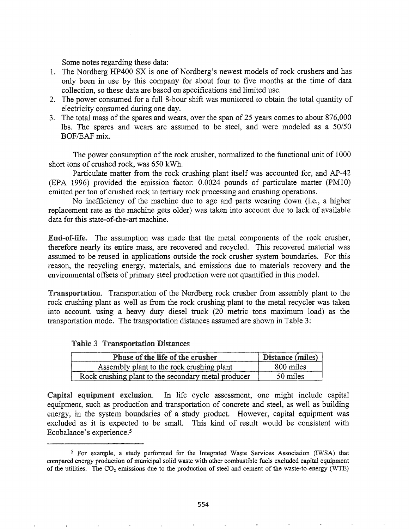Some notes regarding these data:

- 1. The Nordberg HP400 SX is one of Nordberg's newest models of rock crushers and has only been in use by this company for about four to five months at the time of data collection, so these data are based on specifications and limited use.
- 2. The power consumed for a full 8-hour shift was monitored to obtain the total quantity of electricity consumed during one day.
- 3. The total mass of the spares and wears, over the span of 25 years comes to about 876,000 lbs. The spares and wears are assumed to be steel, and were modeled as a 50/50 BOF/EAF mix.

The power consumption of the rock crusher, normalized to the functional unit of 1000 short tons of crushed rock, was 650 kWh.

Particulate matter from the rock crushing plant itself was accounted for, and AP-42 (EPA 1996) provided the emission factor: 0.0024 pounds of particulate matter (PMIO) emitted per ton of crushed rock in tertiary rock processing and crushing operations.

No inefficiency of the machine due to age and parts wearing down (i.e., a higher replacement rate as the machine gets older) was taken into account due to lack of available data for this state-of-the-art machine.

End-of-life. The assumption was made that the metal components of the rock crusher, therefore nearly its entire mass, are recovered and recycled. This recovered material was assumed to be reused in applications outside the rock crusher system boundaries. For this reason, the recycling energy, materials, and emissions due to materials recovery and the environmental offsets of primary steel production were not quantified in this model.

Transportation. Transportation of the Nordberg rock crusher from assembly plant to the rock crushing plant as well as from the rock crushing plant to the metal recycler was taken into account, using a heavy duty diesel truck (20 metric tons maximum load) as the transportation mode. The transportation distances assumed are shown in Table 3:

|  | <b>Table 3 Transportation Distances</b> |  |
|--|-----------------------------------------|--|
|--|-----------------------------------------|--|

| <b>Phase of the life of the crusher</b>             | Distance (miles) |
|-----------------------------------------------------|------------------|
| Assembly plant to the rock crushing plant           | 800 miles        |
| Rock crushing plant to the secondary metal producer | 50 miles         |

Capital equipment exclusion. In life cycle assessment, one might include capital equipment, such as production and transportation of concrete and steel, as well as building energy, in the system boundaries of a study product. However, capital equipment was excluded as it is expected to be smalL This kind of result would be consistent with Ecobalance's experience.<sup>5</sup>

<sup>5</sup> For example, a study performed for the Integrated Waste Services Association (IWSA) that compared energy production of municipal solid waste with other combustible fuels excluded capital equipment of the utilities. The  $CO<sub>2</sub>$  emissions due to the production of steel and cement of the waste-to-energy (WTE)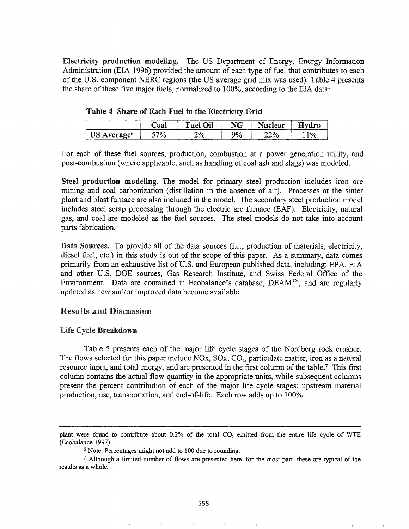**Electricity production modeling.** The US Department of Energy, Energy Information Administration (EIA 1996) provided the amount of each type of fuel that contributes to each of the U.S. component NERC regions (the US average grid mix was used). Table 4 presents the share of these five major fuels, normalized to 100%, according to the EIA data:

|                  | C0al | Oil<br>лнег | NG | ∖uclear | ™dr∩<br>--    |
|------------------|------|-------------|----|---------|---------------|
| age <sup>o</sup> | 57%  | 70          | 9% | 22%     | $\frac{1}{2}$ |

Table 4 Share of Each Fuel in the Electricity Grid

For each of these fuel sources, production, combustion at a power generation utility, and post-combustion (where applicable, such as handling of coal ash and slags) was modeled.

Steel production modeling. The model for primary steel production includes iron ore mining and coal carbonization (distillation in the absence of air). Processes at the sinter plant and blast furnace are also included in the model. The secondary steel production model includes steel scrap processing through the electric arc furnace (EAF). Electricity, natural gas, and coal are modeled as the fuel sources. The steel models do not take into account parts fabrication.

Data Sources. To provide all of the data sources (i.e., production of materials, electricity, diesel fuel, etc.) in this study is out of the scope of this paper. As a summary, data comes primarily from an exhaustive list of U.S. and European published data, including: EPA, EIA and other U.S. DOE sources, Gas Research Institute, and Swiss Federal Office of the Environment. Data are contained in Ecobalance's database, DEAM™, and are regularly updated as new and/or improved data become available.

## **Results and Discussion**

#### Life Cycle Breakdown

Table 5 presents each of the major life cycle stages of the Nordberg rock crusher. The flows selected for this paper include NOx,  $SOx$ ,  $CO<sub>2</sub>$ , particulate matter, iron as a natural resource input, and total energy, and are presented in the first column of the table.<sup>7</sup> This first column contains the actual flow quantity in the appropriate units, while subsequent columns present the percent contribution of each of the major life cycle stages: upstream material production, use, transportation, and end-of-life. Each row adds up to 100%.

plant were found to contribute about 0.2% of the total  $CO<sub>2</sub>$  emitted from the entire life cycle of WTE (Ecobalance 1997).

<sup>6</sup> Note: Percentages might not add to 100 due to rounding.

<sup>7</sup> Although a limited number of flows are presented here, for the most part, these are typical of the results as a whole.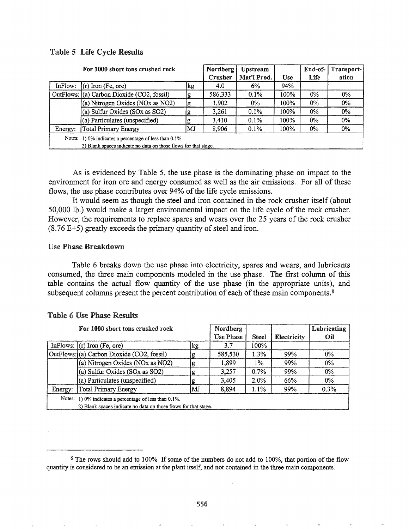## Table 5 Life Cycle Results

|         | For 1000 short tons crushed rock                                |     | Nordberg<br><b>Upstream</b> |             |            | End-of- | Transport- |  |
|---------|-----------------------------------------------------------------|-----|-----------------------------|-------------|------------|---------|------------|--|
|         |                                                                 |     | Crusher                     | Mat'l Prod. | <b>Use</b> | Life    | ation      |  |
| InFlow: | $(r)$ Iron (Fe, ore)                                            | kg  | 4.0                         | 6%          | 94%        |         |            |  |
|         | OutFlows: (a) Carbon Dioxide (CO2, fossil)                      | lg  | 586,333                     | 0.1%        | 100%       | $0\%$   | $0\%$      |  |
|         | (a) Nitrogen Oxides (NOx as NO2)                                | lg  | 1,902                       | 0%          | 100%       | 0%      | $0\%$      |  |
|         | (a) Sulfur Oxides (SOx as SO2)                                  | lg  | 3,261                       | $0.1\%$     | 100%       | 0%      | $0\%$      |  |
|         | (a) Particulates (unspecified)                                  | g   | 3.410                       | 0.1%        | 100%       | $0\%$   | 0%         |  |
| Energy: | <b>Total Primary Energy</b>                                     | ΙMJ | 8,906                       | 0.1%        | 100%       | $0\%$   | $0\%$      |  |
|         | Notes: 1) 0% indicates a percentage of less than 0.1%.          |     |                             |             |            |         |            |  |
|         | 2) Blank spaces indicate no data on those flows for that stage. |     |                             |             |            |         |            |  |

As is evidenced by Table 5, the use phase is the dominating phase on impact to the environment for iron ore and energy consumed as well as the air emissions. For all of these flows, the use phase contributes over 94% of the life cycle emissions.

It would seem as though the steel and iron contained in the rock crusher itself (about 50,000 lb.) would make a larger environmental impact on the life cycle of the rock crusher. However, the requirements to replace spares and wears over the 25 years of the rock crusher  $(8.76 E+5)$  greatly exceeds the primary quantity of steel and iron.

### Use Phase Breakdown

Table 6 breaks down the use phase into electricity, spares and wears, and lubricants consumed, the three main components modeled in the use phase. The first column of this table contains the actual flow quantity of the use phase (in the appropriate units), and subsequent columns present the percent contribution of each of these main components.<sup>8</sup>

|         | For 1000 short tons crushed rock                                |     | Nordberg         |              |                    | Lubricating |
|---------|-----------------------------------------------------------------|-----|------------------|--------------|--------------------|-------------|
|         |                                                                 |     | <b>Use Phase</b> | <b>Steel</b> | <b>Electricity</b> | Oil         |
|         | In Flows: $\vert$ (r) Iron (Fe, ore)                            | kg  | 3.7              | 100%         |                    |             |
|         | OutFlows: (a) Carbon Dioxide (CO2, fossil)                      | g   | 585,530          | 1.3%         | 99%                | $0\%$       |
|         | (a) Nitrogen Oxides (NOx as NO2)                                | g   | 1.899            | $1\%$        | 99%                | $0\%$       |
|         | (a) Sulfur Oxides (SOx as SO2)                                  | g   | 3.257            | $0.7\%$      | 99%                | 0%          |
|         | (a) Particulates (unspecified)                                  | g   | 3.405            | 2.0%         | 66%                | $0\%$       |
| Energy: | Total Primary Energy                                            | İMJ | 8.894            | 1.1%         | 99%                | $0.3\%$     |
|         | Notes: 1) 0% indicates a percentage of less than $0.1\%$ .      |     |                  |              |                    |             |
|         | 2) Blank spaces indicate no data on those flows for that stage. |     |                  |              |                    |             |

### Table 6 Use Phase Results

<sup>&</sup>lt;sup>8</sup> The rows should add to 100% If some of the numbers do not add to 100%, that portion of the flow quantity is considered to be an emission at the plant itself, and not contained in the three main components.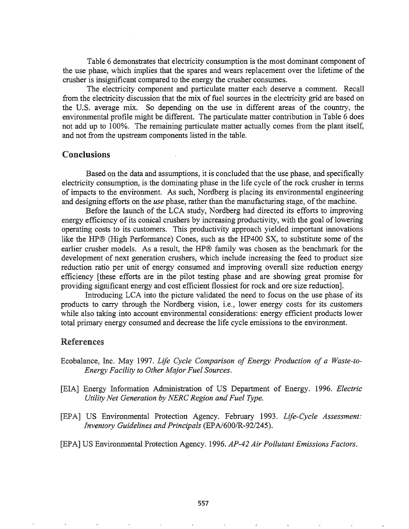Table 6 demonstrates that electricity consumption is the most dominant component of the use phase, which implies that the spares and wears replacement over the lifetime of the crusher is insignificant compared to the energy the crusher consumes.

The electricity component and particulate matter each deserve a comment. Recall from the electricity discussion that the mix of fuel sources in the electricity grid are based on the U.S. average mix. So depending on the use in different areas of the country, the environmental profile might be different. The particulate matter contribution in Table 6 does not add up to 100%. The remaining particulate matter actually comes from the plant itself, and not from the upstream components listed in the table.

### Conclusions

Based on the data and assumptions, it is concluded that the use phase, and specifically electricity consumption, is the dominating phase in the life cycle of the rock crusher in terms of impacts to the environment. As such, Nordberg is placing its environmental engineering and designing efforts on the *use* phase, rather than the manufacturing stage, of the machine.

Before the launch of the LCA study, Nordberg had directed its efforts to improving energy efficiency of its conical crushers by increasing productivity, with the goal of lowering operating costs to its customers. This productivity approach yielded important innovations like the HP@ (High Performance) Cones, such as the HP400 SX, to substitute some of the earlier crusher models. As a result, the HP® family was chosen as the benchmark for the development of next generation crushers, which include increasing the feed to product size reduction ratio per unit of energy consumed and improving overall size reduction energy efficiency [these efforts are in the pilot testing phase and are showing great promise for providing significant energy and cost efficient flossiest for rock and ore size reduction].

Introducing LCA into the picture validated the need to focus on the use phase of its products to carry through the Nordberg vision, i.e., lower energy costs for its customers while also taking into account environmental considerations: energy efficient products lower total primary energy consumed and decrease the life cycle emissions to the environment.

### References

- Ecobalance, Inc. May 1997. *Life Cycle Comparison of Energy Production of a Waste-to-Energy Facility to Other Major Fuel Sources.*
- [EIA] Energy Information Administration of US Department of Energy. 1996. *Electric Utility Net Generation by NERC Region and Fuel Type.*
- US Environmental Protection Agency. February 1993. *Life-Cycle Assessment: Inventory Guidelines and Principals* (EP*N6001R-92/245).*
- [EPA] US Environmental Protection Agency. 1996. *AP-42 Air Pollutant Emissions Factors..*